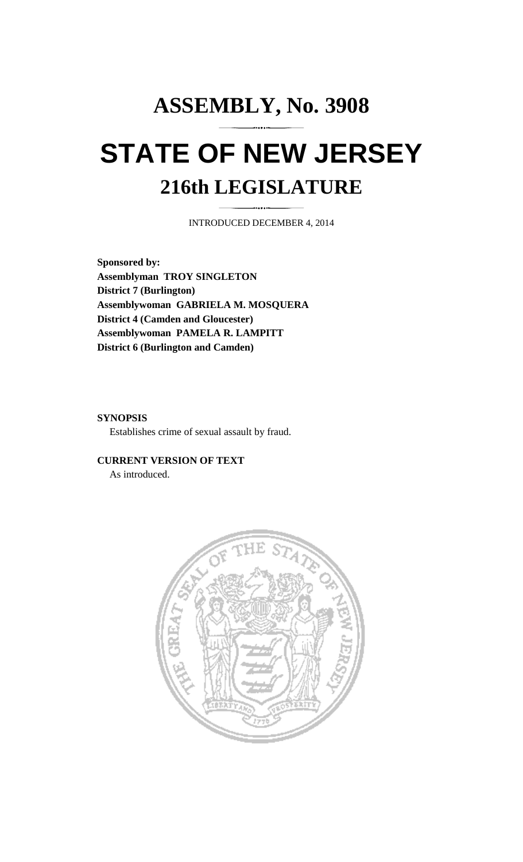# **ASSEMBLY, No. 3908 STATE OF NEW JERSEY 216th LEGISLATURE**

INTRODUCED DECEMBER 4, 2014

**Sponsored by: Assemblyman TROY SINGLETON District 7 (Burlington) Assemblywoman GABRIELA M. MOSQUERA District 4 (Camden and Gloucester) Assemblywoman PAMELA R. LAMPITT District 6 (Burlington and Camden)** 

## **SYNOPSIS**

Establishes crime of sexual assault by fraud.

### **CURRENT VERSION OF TEXT**

As introduced.

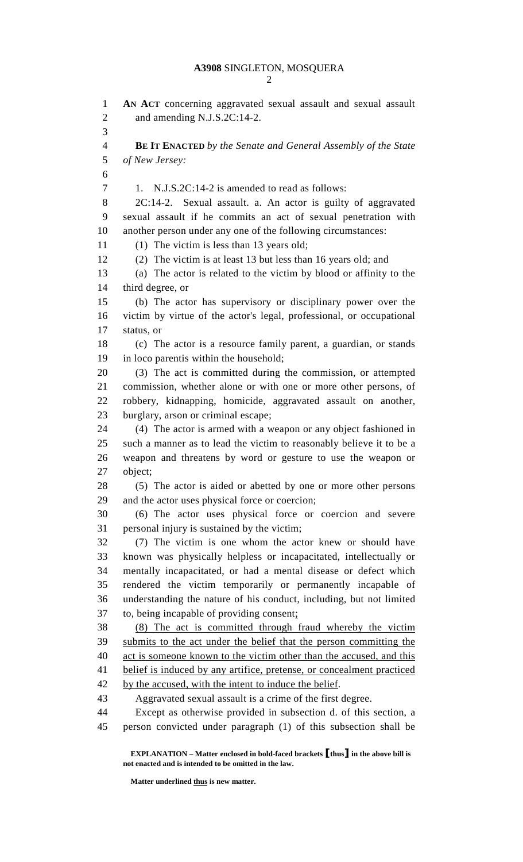## **A3908** SINGLETON, MOSQUERA

2

1 **AN ACT** concerning aggravated sexual assault and sexual assault 2 and amending N.J.S.2C:14-2. 3 4 **BE IT ENACTED** *by the Senate and General Assembly of the State*  5 *of New Jersey:* 6 7 1. N.J.S.2C:14-2 is amended to read as follows: 8 2C:14-2. Sexual assault. a. An actor is guilty of aggravated 9 sexual assault if he commits an act of sexual penetration with 10 another person under any one of the following circumstances: 11 (1) The victim is less than 13 years old; 12 (2) The victim is at least 13 but less than 16 years old; and 13 (a) The actor is related to the victim by blood or affinity to the 14 third degree, or 15 (b) The actor has supervisory or disciplinary power over the 16 victim by virtue of the actor's legal, professional, or occupational 17 status, or 18 (c) The actor is a resource family parent, a guardian, or stands 19 in loco parentis within the household; 20 (3) The act is committed during the commission, or attempted 21 commission, whether alone or with one or more other persons, of 22 robbery, kidnapping, homicide, aggravated assault on another, 23 burglary, arson or criminal escape; 24 (4) The actor is armed with a weapon or any object fashioned in 25 such a manner as to lead the victim to reasonably believe it to be a 26 weapon and threatens by word or gesture to use the weapon or 27 object; 28 (5) The actor is aided or abetted by one or more other persons 29 and the actor uses physical force or coercion; 30 (6) The actor uses physical force or coercion and severe 31 personal injury is sustained by the victim; 32 (7) The victim is one whom the actor knew or should have 33 known was physically helpless or incapacitated, intellectually or 34 mentally incapacitated, or had a mental disease or defect which 35 rendered the victim temporarily or permanently incapable of 36 understanding the nature of his conduct, including, but not limited 37 to, being incapable of providing consent; 38 (8) The act is committed through fraud whereby the victim 39 submits to the act under the belief that the person committing the 40 act is someone known to the victim other than the accused, and this 41 belief is induced by any artifice, pretense, or concealment practiced 42 by the accused, with the intent to induce the belief. 43 Aggravated sexual assault is a crime of the first degree. 44 Except as otherwise provided in subsection d. of this section, a 45 person convicted under paragraph (1) of this subsection shall be

 **EXPLANATION – Matter enclosed in bold-faced brackets** [**thus**] **in the above bill is not enacted and is intended to be omitted in the law.** 

 **Matter underlined thus is new matter.**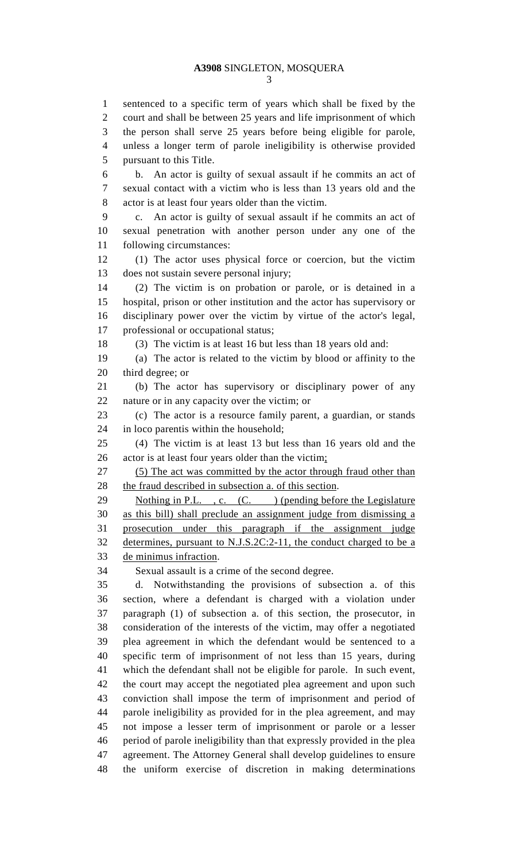3

1 sentenced to a specific term of years which shall be fixed by the 2 court and shall be between 25 years and life imprisonment of which 3 the person shall serve 25 years before being eligible for parole, 4 unless a longer term of parole ineligibility is otherwise provided 5 pursuant to this Title. 6 b. An actor is guilty of sexual assault if he commits an act of 7 sexual contact with a victim who is less than 13 years old and the 8 actor is at least four years older than the victim. 9 c. An actor is guilty of sexual assault if he commits an act of 10 sexual penetration with another person under any one of the 11 following circumstances: 12 (1) The actor uses physical force or coercion, but the victim 13 does not sustain severe personal injury; 14 (2) The victim is on probation or parole, or is detained in a 15 hospital, prison or other institution and the actor has supervisory or 16 disciplinary power over the victim by virtue of the actor's legal, 17 professional or occupational status; 18 (3) The victim is at least 16 but less than 18 years old and: 19 (a) The actor is related to the victim by blood or affinity to the 20 third degree; or 21 (b) The actor has supervisory or disciplinary power of any 22 nature or in any capacity over the victim; or 23 (c) The actor is a resource family parent, a guardian, or stands 24 in loco parentis within the household; 25 (4) The victim is at least 13 but less than 16 years old and the 26 actor is at least four years older than the victim; 27 (5) The act was committed by the actor through fraud other than 28 the fraud described in subsection a. of this section. 29 Nothing in P.L., c. (C. ) (pending before the Legislature 30 as this bill) shall preclude an assignment judge from dismissing a 31 prosecution under this paragraph if the assignment judge 32 determines, pursuant to N.J.S.2C:2-11, the conduct charged to be a 33 de minimus infraction. 34 Sexual assault is a crime of the second degree. 35 d. Notwithstanding the provisions of subsection a. of this 36 section, where a defendant is charged with a violation under 37 paragraph (1) of subsection a. of this section, the prosecutor, in 38 consideration of the interests of the victim, may offer a negotiated 39 plea agreement in which the defendant would be sentenced to a 40 specific term of imprisonment of not less than 15 years, during 41 which the defendant shall not be eligible for parole. In such event, 42 the court may accept the negotiated plea agreement and upon such 43 conviction shall impose the term of imprisonment and period of 44 parole ineligibility as provided for in the plea agreement, and may 45 not impose a lesser term of imprisonment or parole or a lesser 46 period of parole ineligibility than that expressly provided in the plea 47 agreement. The Attorney General shall develop guidelines to ensure 48 the uniform exercise of discretion in making determinations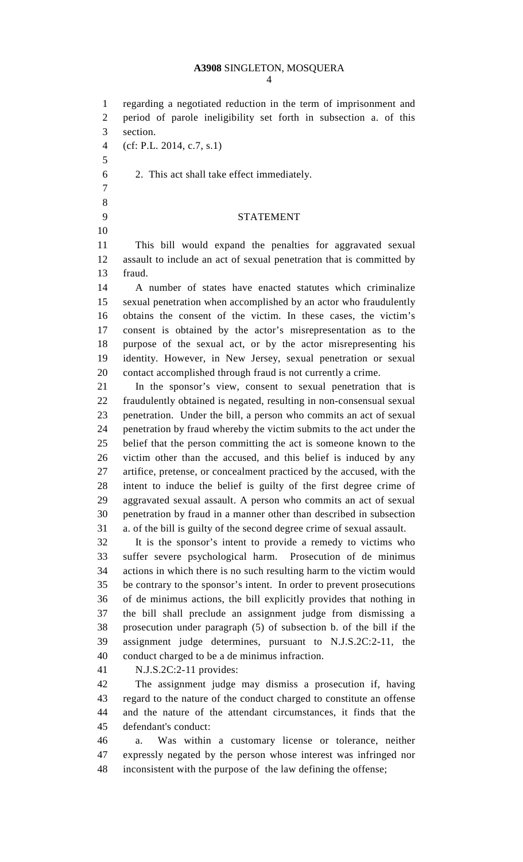## **A3908** SINGLETON, MOSQUERA

4

1 regarding a negotiated reduction in the term of imprisonment and 2 period of parole ineligibility set forth in subsection a. of this 3 section.

- 4 (cf: P.L. 2014, c.7, s.1)
- 5
- 6 2. This act shall take effect immediately.
- 7 8

10

### 9 STATEMENT

11 This bill would expand the penalties for aggravated sexual 12 assault to include an act of sexual penetration that is committed by 13 fraud.

14 A number of states have enacted statutes which criminalize 15 sexual penetration when accomplished by an actor who fraudulently 16 obtains the consent of the victim. In these cases, the victim's 17 consent is obtained by the actor's misrepresentation as to the 18 purpose of the sexual act, or by the actor misrepresenting his 19 identity. However, in New Jersey, sexual penetration or sexual 20 contact accomplished through fraud is not currently a crime.

21 In the sponsor's view, consent to sexual penetration that is 22 fraudulently obtained is negated, resulting in non-consensual sexual 23 penetration. Under the bill, a person who commits an act of sexual 24 penetration by fraud whereby the victim submits to the act under the 25 belief that the person committing the act is someone known to the 26 victim other than the accused, and this belief is induced by any 27 artifice, pretense, or concealment practiced by the accused, with the 28 intent to induce the belief is guilty of the first degree crime of 29 aggravated sexual assault. A person who commits an act of sexual 30 penetration by fraud in a manner other than described in subsection 31 a. of the bill is guilty of the second degree crime of sexual assault.

32 It is the sponsor's intent to provide a remedy to victims who 33 suffer severe psychological harm. Prosecution of de minimus 34 actions in which there is no such resulting harm to the victim would 35 be contrary to the sponsor's intent. In order to prevent prosecutions 36 of de minimus actions, the bill explicitly provides that nothing in 37 the bill shall preclude an assignment judge from dismissing a 38 prosecution under paragraph (5) of subsection b. of the bill if the 39 assignment judge determines, pursuant to N.J.S.2C:2-11, the 40 conduct charged to be a de minimus infraction.

41 N.J.S.2C:2-11 provides:

42 The assignment judge may dismiss a prosecution if, having 43 regard to the nature of the conduct charged to constitute an offense 44 and the nature of the attendant circumstances, it finds that the 45 defendant's conduct:

46 a. Was within a customary license or tolerance, neither 47 expressly negated by the person whose interest was infringed nor 48 inconsistent with the purpose of the law defining the offense;